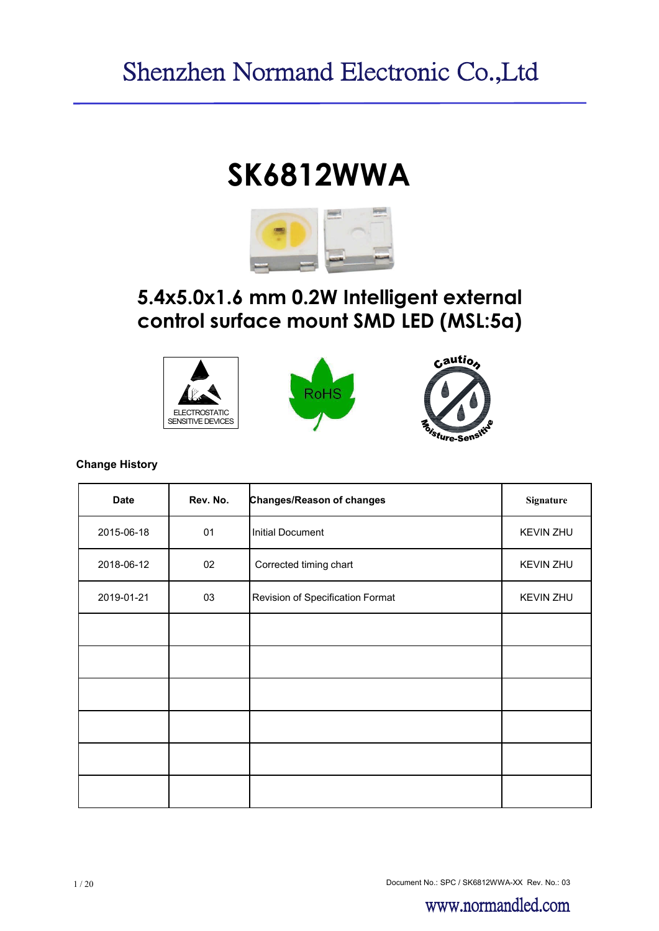# **SK6812WWA**



# **5.4x5.0x1.6 mm 0.2W Intelligent external control surface mount SMD LED (MSL:5a)**







#### **Change History**

| <b>Date</b> | Rev. No. | Changes/Reason of changes        | Signature        |
|-------------|----------|----------------------------------|------------------|
| 2015-06-18  | 01       | <b>Initial Document</b>          | <b>KEVIN ZHU</b> |
| 2018-06-12  | 02       | Corrected timing chart           | <b>KEVIN ZHU</b> |
| 2019-01-21  | 03       | Revision of Specification Format | <b>KEVIN ZHU</b> |
|             |          |                                  |                  |
|             |          |                                  |                  |
|             |          |                                  |                  |
|             |          |                                  |                  |
|             |          |                                  |                  |
|             |          |                                  |                  |

Document No.: SPC / SK6812WWA-XX Rev. No.: 03 1 / 20

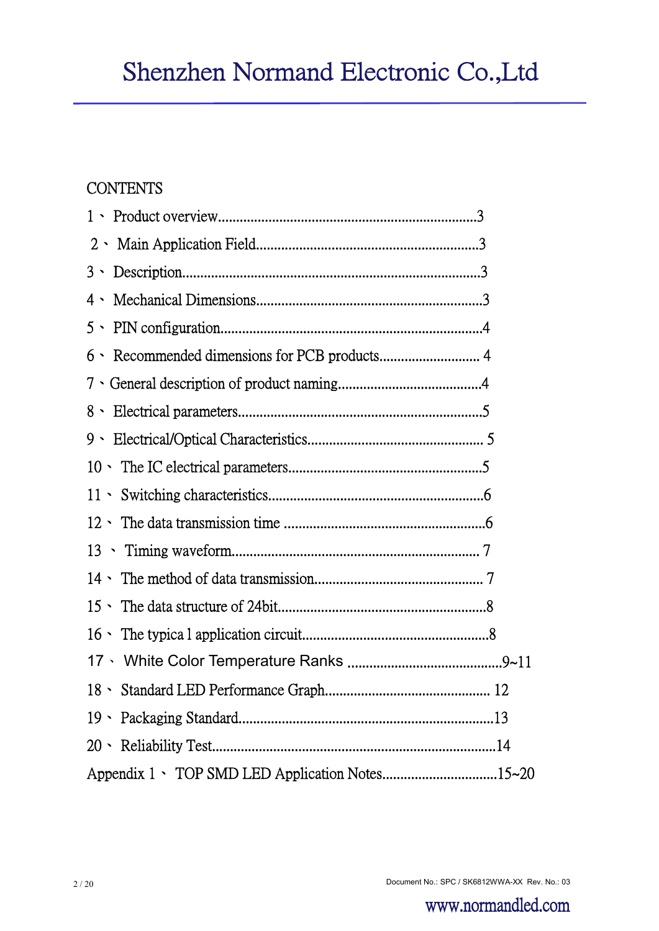# **CONTENTS**

| $2 \cdot$                                       |
|-------------------------------------------------|
| $3 \cdot$                                       |
| $4 \cdot$                                       |
| $5 \cdot$                                       |
| $6 \cdot$                                       |
|                                                 |
|                                                 |
|                                                 |
|                                                 |
|                                                 |
|                                                 |
| 13                                              |
|                                                 |
|                                                 |
|                                                 |
|                                                 |
|                                                 |
|                                                 |
|                                                 |
| Appendix 1 \ TOP SMD LED Application Notes15~20 |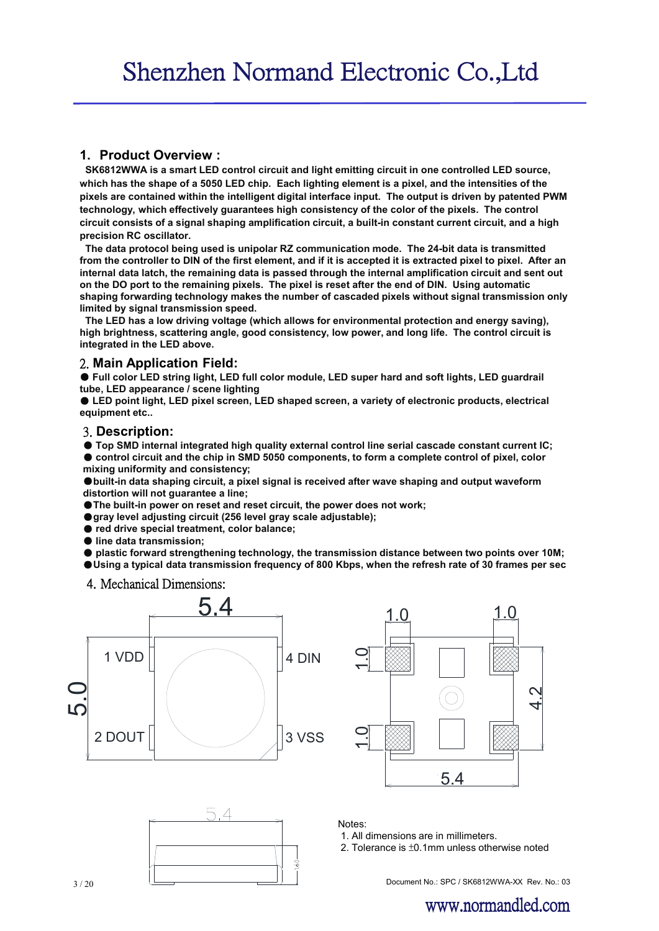#### **1. Product Overview :**

**SK6812WWA is a smart LED control circuit and light emitting circuit in one controlled LED source, which has the shape of a 5050 LED chip. Each lighting element is a pixel, and the intensities of the pixels are contained within the intelligent digital interface input. The output is driven by patented PWM technology, which effectively guarantees high consistency of the color of the pixels. The control circuit consists of a signal shaping amplification circuit, a built-in constant current circuit, and a high precision RC oscillator.**

**The data protocol being used is unipolar RZ communication mode. The 24-bit data is transmitted from the controller to DIN of the first element, and if it is accepted it is extracted pixel to pixel. After an internal data latch, the remaining data is passed through the internal amplification circuit and sent out on the DO port to the remaining pixels. The pixel is reset after the end of DIN. Using automatic shaping forwarding technology makes the number of cascaded pixels without signal transmission only limited by signal transmission speed.**

**The LED has a low driving voltage (which allows for environmental protection and energy saving), high brightness, scattering angle, good consistency, low power, and long life. The control circuit is integrated in the LED above.**

#### 2. **Main Application Field:**

● Full color LED string light, LED full color module, LED super hard and soft lights, LED guardrail **tube, LED appearance / scene lighting**

● **LED point light, LED pixel screen, LED shaped screen, a variety of electronic products, electrical equipment etc..**

#### 3. **Description:**

● **Top SMD internal integrated high quality external control line serial cascade constant current IC;** ● control circuit and the chip in SMD 5050 components, to form a complete control of pixel, color **mixing uniformity and consistency;**

●**built-in data shaping circuit, a pixel signal is received after wave shaping and output waveform distortion will not guarantee a line;**

●**The built-in power on reset and reset circuit, the power does not work;**

- ●**gray level adjusting circuit (256 level gray scale adjustable);**
- **red drive special treatment, color balance;**
- **line data transmission;**

● **plastic forward strengthening technology, the transmission distance between two points over 10M;**

●**Using a typical data transmission frequency of 800 Kbps, when the refresh rate of 30 frames per sec**

4. Mechanical Dimensions:







Notes:

1. All dimensions are in millimeters.

2. Tolerance is ±0.1mm unless otherwise noted

 $\overline{3/20}$  3/20 3/20 3/20 3/20 3/20 5  $\overline{1/3}$  Document No.: SPC / SK6812WWA-XX Rev. No.: 03

# www.normandled.com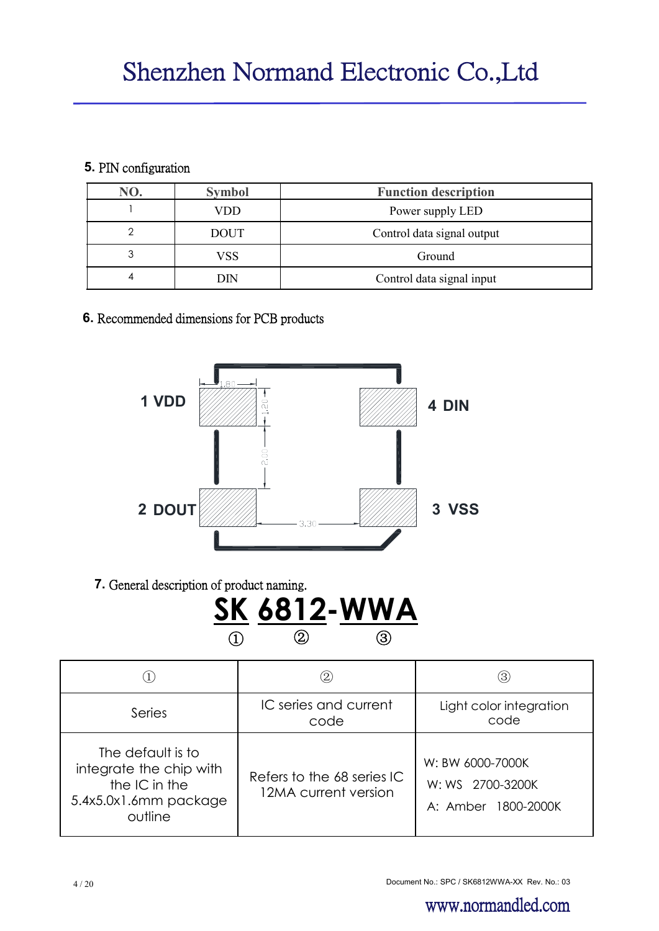# **5.** PIN configuration

| NO. | <b>Symbol</b> | <b>Function description</b> |  |  |  |  |
|-----|---------------|-----------------------------|--|--|--|--|
|     | VDD           | Power supply LED            |  |  |  |  |
|     | <b>DOUT</b>   | Control data signal output  |  |  |  |  |
|     | VSS           | Ground                      |  |  |  |  |
| 4   | DIN           | Control data signal input   |  |  |  |  |

# **6.** Recommended dimensions for PCB products



**7.** General description of product naming.



|                                                                                                   |                                                    | (3)                                                         |
|---------------------------------------------------------------------------------------------------|----------------------------------------------------|-------------------------------------------------------------|
| Series                                                                                            | IC series and current<br>code                      | Light color integration<br>code                             |
| The default is to<br>integrate the chip with<br>the IC in the<br>5.4x5.0x1.6mm package<br>outline | Refers to the 68 series IC<br>12MA current version | W: BW 6000-7000K<br>W: WS 2700-3200K<br>A: Amber 1800-2000K |

www.normandled.com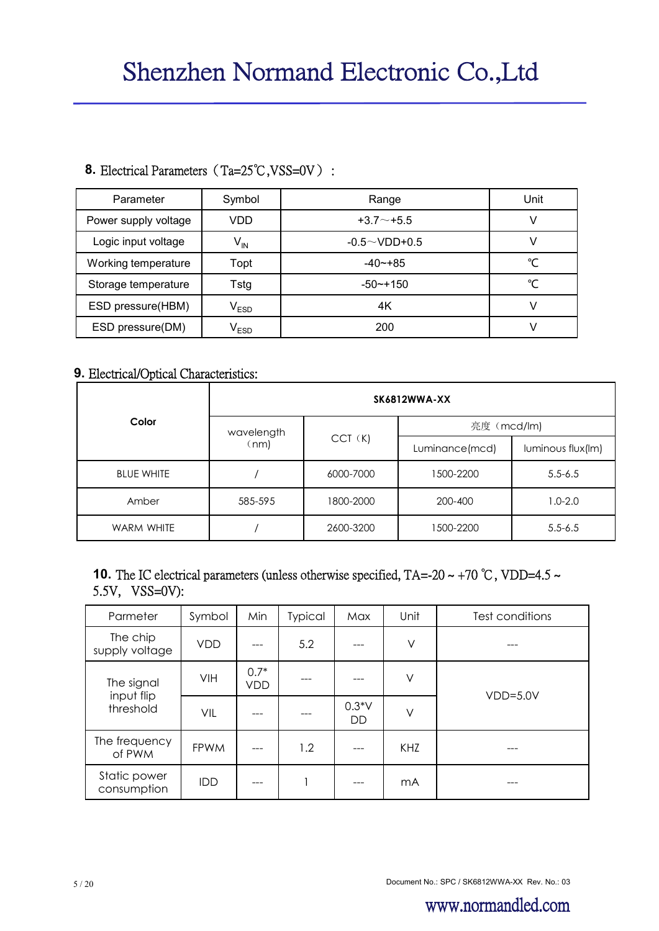# 8. Electrical Parameters (Ta=25℃,VSS=0V) :

| Parameter            | Symbol                      | Range               | Unit |
|----------------------|-----------------------------|---------------------|------|
| Power supply voltage | VDD                         | $+3.7 \sim +5.5$    | ν    |
| Logic input voltage  | $\mathsf{V}_{\mathsf{IN}}$  | $-0.5 \sim$ VDD+0.5 |      |
| Working temperature  | Topt                        | $-40$ $-+85$        | °C   |
| Storage temperature  | Tstg                        | $-50$ $-150$        | °C   |
| ESD pressure(HBM)    | $\mathsf{V}_{\mathsf{ESD}}$ | 4K                  | V    |
| ESD pressure(DM)     | $\mathsf{V}_{\mathsf{ESD}}$ | 200                 |      |

# **9.** Electrical/Optical Characteristics:

|                   | <b>SK6812WWA-XX</b> |             |                |                   |  |  |  |  |
|-------------------|---------------------|-------------|----------------|-------------------|--|--|--|--|
| Color             | wavelength          |             | 亮度 (mcd/lm)    |                   |  |  |  |  |
|                   | (nm)                | $CCT$ $(K)$ | Luminance(mcd) | luminous flux(Im) |  |  |  |  |
| <b>BLUE WHITE</b> |                     | 6000-7000   | 1500-2200      | $5.5 - 6.5$       |  |  |  |  |
| Amber             | 585-595             | 1800-2000   | 200-400        | $1.0 - 2.0$       |  |  |  |  |
| <b>WARM WHITE</b> |                     | 2600-3200   | 1500-2200      | $5.5 - 6.5$       |  |  |  |  |

# **10.** The IC electrical parameters (unless otherwise specified, TA=-20 ~ +70 °C, VDD=4.5 ~ 5.5V, VSS=0V):

| Parmeter                              | Symbol      | Min                  | <b>Typical</b> | Max                  | Unit   | Test conditions |
|---------------------------------------|-------------|----------------------|----------------|----------------------|--------|-----------------|
| The chip<br>supply voltage            | <b>VDD</b>  |                      | 5.2            |                      | V      |                 |
| The signal<br>input flip<br>threshold | VIH         | $0.7*$<br><b>VDD</b> |                |                      | V      | $VDD=5.0V$      |
|                                       | VIL         |                      |                | $0.3*V$<br><b>DD</b> | $\vee$ |                 |
| The frequency<br>of PWM               | <b>FPWM</b> |                      | 1.2            |                      | KHZ    |                 |
| Static power<br>consumption           | <b>IDD</b>  |                      | п              |                      | mA     |                 |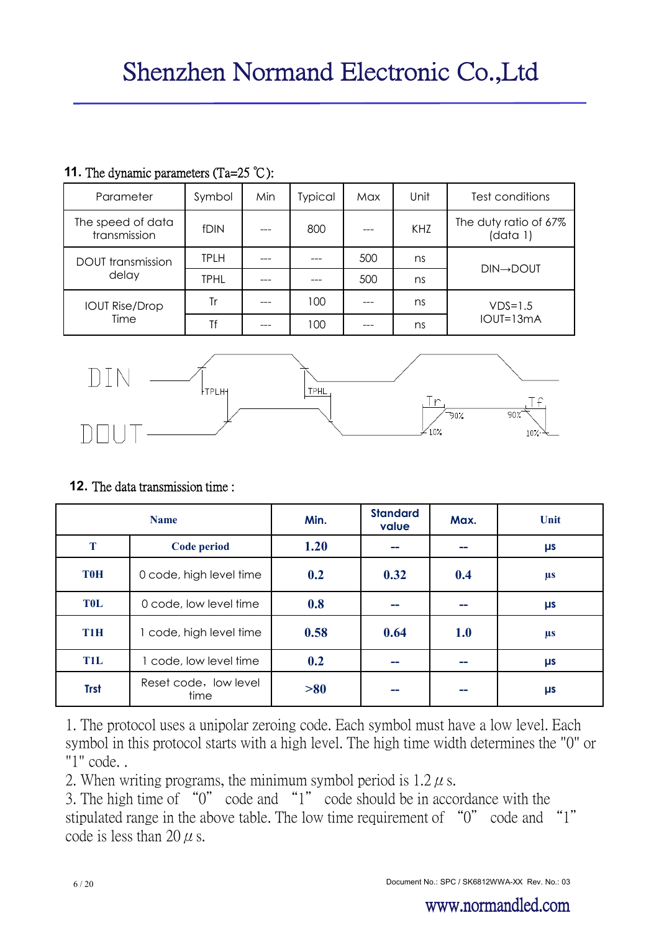| Parameter                         | Symbol      | Min        | Typical | Max                               | Unit | Test conditions        |
|-----------------------------------|-------------|------------|---------|-----------------------------------|------|------------------------|
| The speed of data<br>transmission | fDIN        | KHZ<br>800 |         | The duty ratio of 67%<br>(data 1) |      |                        |
| <b>DOUT</b> transmission<br>delay | TPLH        |            |         | 500                               | ns   | $DIN \rightarrow DOUT$ |
|                                   | <b>TPHL</b> |            |         | 500                               | ns   |                        |
| <b>IOUT Rise/Drop</b>             | Tr          |            | 100     |                                   | ns   | $VDS=1.5$              |
| Time                              | Tf          |            | 100     |                                   | ns   | IOUT=13mA              |

### **11.** The dynamic parameters (Ta=25 ℃):



# **12.** The data transmission time :

|                  | <b>Name</b>                   | Min. | <b>Standard</b><br>value | Max. | Unit    |
|------------------|-------------------------------|------|--------------------------|------|---------|
| T                | Code period                   | 1.20 | --                       |      | μs      |
| <b>T0H</b>       | 0 code, high level time       | 0.2  | 0.32                     | 0.4  | $\mu s$ |
| <b>TOL</b>       | 0 code, low level time        | 0.8  |                          |      | μs      |
| T <sub>1</sub> H | 1 code, high level time       | 0.58 | 0.64                     | 1.0  | $\mu s$ |
| <b>T1L</b>       | 1 code, low level time        | 0.2  | --                       |      | μs      |
| <b>Trst</b>      | Reset code, low level<br>time | >80  | --                       |      | μs      |

1. The protocol uses a unipolar zeroing code. Each symbol must have a low level. Each symbol in this protocol starts with a high level. The high time width determines the "0" or "1" code. .

2. When writing programs, the minimum symbol period is  $1.2 \mu$  s.

3. The high time of "0" code and "1" code should be in accordance with the stipulated range in the above table. The low time requirement of "0" code and "1" code is less than 20  $\mu$  s.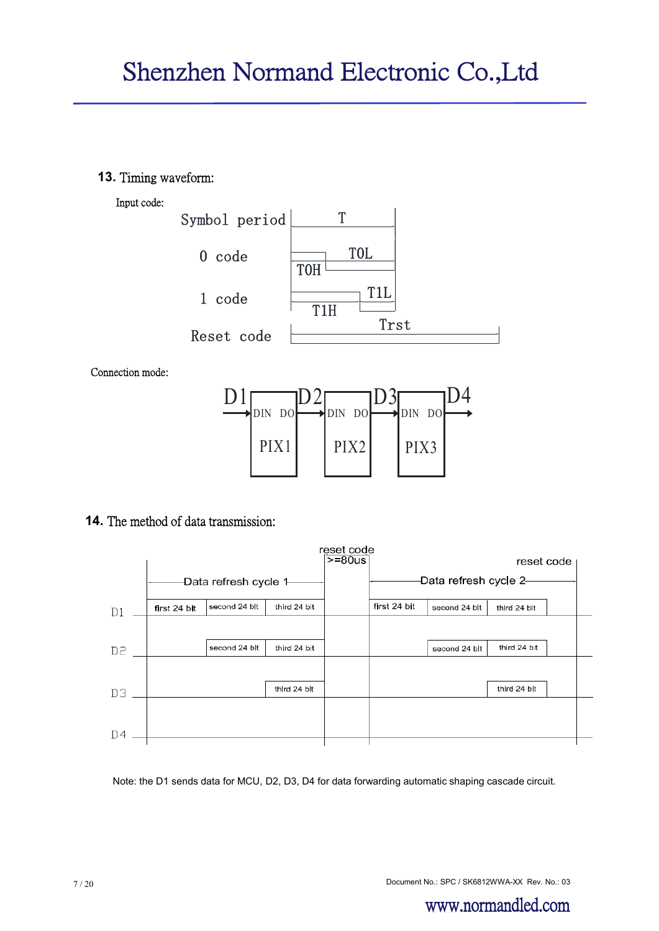**13.** Timing waveform:





Connection mode:



### **14.** The method of data transmission:

|                |                        |               |              | reset code<br>$>= 80us$ |              |                       | reset code   |  |
|----------------|------------------------|---------------|--------------|-------------------------|--------------|-----------------------|--------------|--|
|                | -Data refresh cycle 1- |               |              |                         |              | -Data refresh cycle 2 |              |  |
| D1             | first 24 bit           | second 24 blt | third 24 bit |                         | first 24 bit | second 24 blt         | third 24 bit |  |
|                |                        |               |              |                         |              |                       |              |  |
| D2             |                        | second 24 blt | third 24 bit |                         |              | second 24 blt         | third 24 bit |  |
|                |                        |               |              |                         |              |                       |              |  |
| DЗ             |                        |               | third 24 bit |                         |              |                       | third 24 bit |  |
|                |                        |               |              |                         |              |                       |              |  |
| D <sub>4</sub> |                        |               |              |                         |              |                       |              |  |
|                |                        |               |              |                         |              |                       |              |  |

Note: the D1 sends data for MCU, D2, D3, D4 for data forwarding automatic shaping cascade circuit.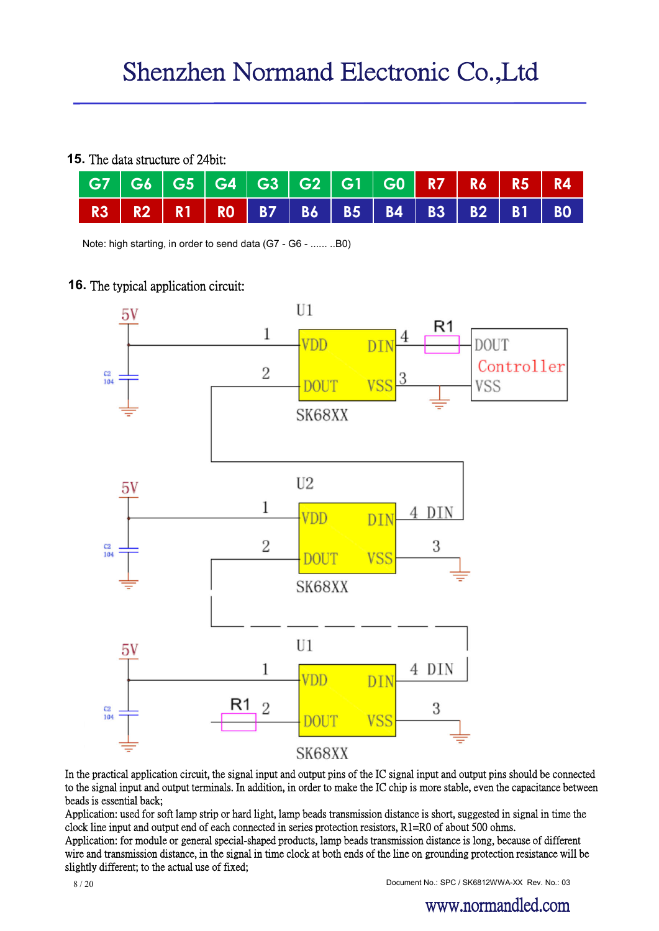#### **15.** The data structure of 24bit:

| │ G7 │ G6 │ G5 │ G4 │ G3 │ G2 │ G1 │ G0 │ R7 │ R6 │ R5 │ R4 │ |  |  |  |  |  |
|---------------------------------------------------------------|--|--|--|--|--|
| R3   R2   R1   R0   B7   B6   B5   B4   B3   B2   B1   B0     |  |  |  |  |  |

Note: high starting, in order to send data (G7 - G6 - ...... ..B0)

#### **16.** The typical application circuit:



In the practical application circuit, the signal input and output pins of the IC signal input and output pins should be connected to the signal input and output terminals. In addition, in order to make the IC chip is more stable, even the capacitance between beads is essential back;

Application: used for soft lamp strip or hard light, lamp beads transmission distance is short, suggested in signal in time the clock line input and output end of each connected in series protection resistors, R1=R0 of about 500 ohms.

Application: for module or general special-shaped products, lamp beads transmission distance is long, because of different wire and transmission distance, in the signal in time clock at both ends of the line on grounding protection resistance will be slightly different; to the actual use of fixed;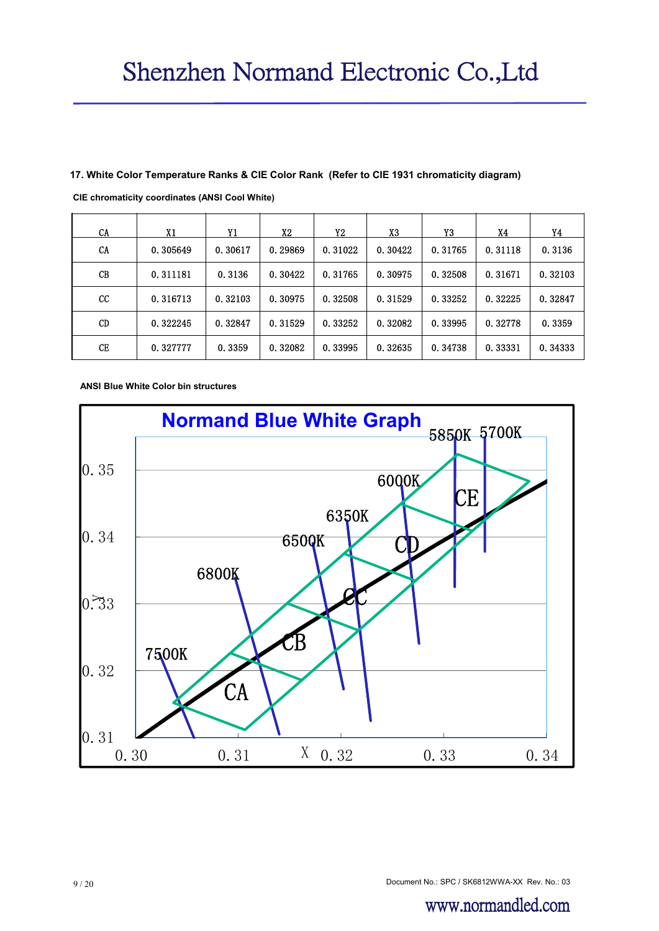#### **17. White Color Temperature Ranks & CIE Color Rank (Refer to CIE 1931 chromaticity diagram)**

| CA        | X1       | Y1      | X2      | Y2      | X3      | Y3      | X4      | Y4      |
|-----------|----------|---------|---------|---------|---------|---------|---------|---------|
| CA        | 0.305649 | 0.30617 | 0.29869 | 0.31022 | 0.30422 | 0.31765 | 0.31118 | 0.3136  |
| CB        | 0.311181 | 0.3136  | 0.30422 | 0.31765 | 0.30975 | 0.32508 | 0.31671 | 0.32103 |
| cc        | 0.316713 | 0.32103 | 0.30975 | 0.32508 | 0.31529 | 0.33252 | 0.32225 | 0.32847 |
| <b>CD</b> | 0.322245 | 0.32847 | 0.31529 | 0.33252 | 0.32082 | 0.33995 | 0.32778 | 0.3359  |
| CE        | 0.327777 | 0.3359  | 0.32082 | 0.33995 | 0.32635 | 0.34738 | 0.33331 | 0.34333 |

**CIE chromaticity coordinates (ANSI Cool White)**

**ANSI Blue White Color bin structures**

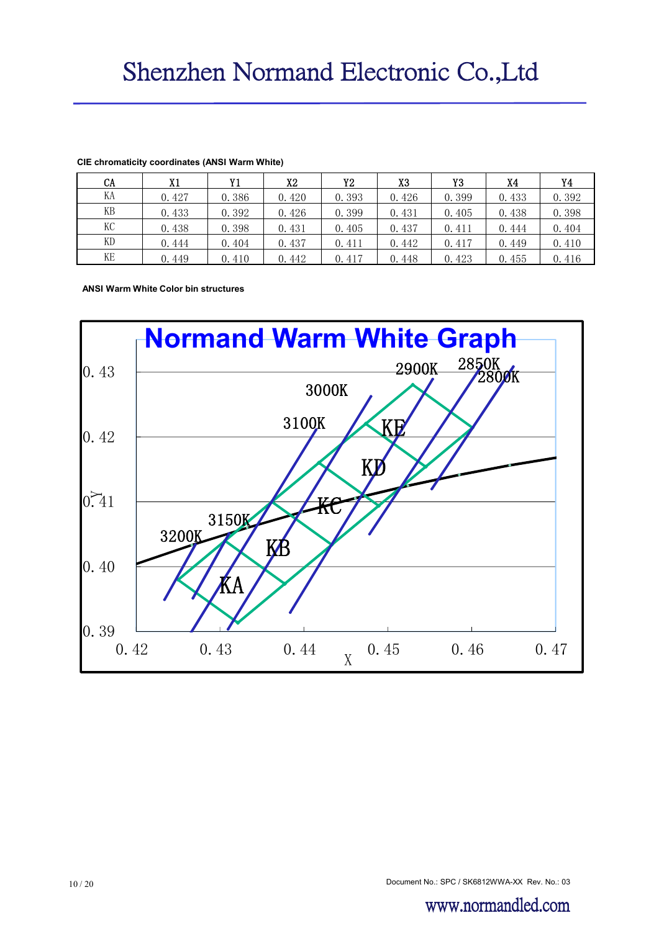| <b>CA</b> | X1    | Y1    | X2    | Y2    | X3    | Y3    | X4    | Y4    |
|-----------|-------|-------|-------|-------|-------|-------|-------|-------|
| KA        | 0.427 | 0.386 | 0.420 | 0.393 | 0.426 | 0.399 | 0.433 | 0.392 |
| KВ        | 0.433 | 0.392 | 0.426 | 0.399 | 0.431 | 0.405 | 0.438 | 0.398 |
| КC        | 0.438 | 0.398 | 0.431 | 0.405 | 0.437 | 0.411 | 0.444 | 0.404 |
| KD        | 0.444 | 0.404 | 0.437 | 0.411 | 0.442 | 0.417 | 0.449 | 0.410 |
| KE        | 0.449 | 0.410 | 0.442 | 0.417 | 0.448 | 0.423 | 0.455 | 0.416 |

#### **CIE chromaticity coordinates (ANSI Warm White)**

**ANSI Warm White Color bin structures**



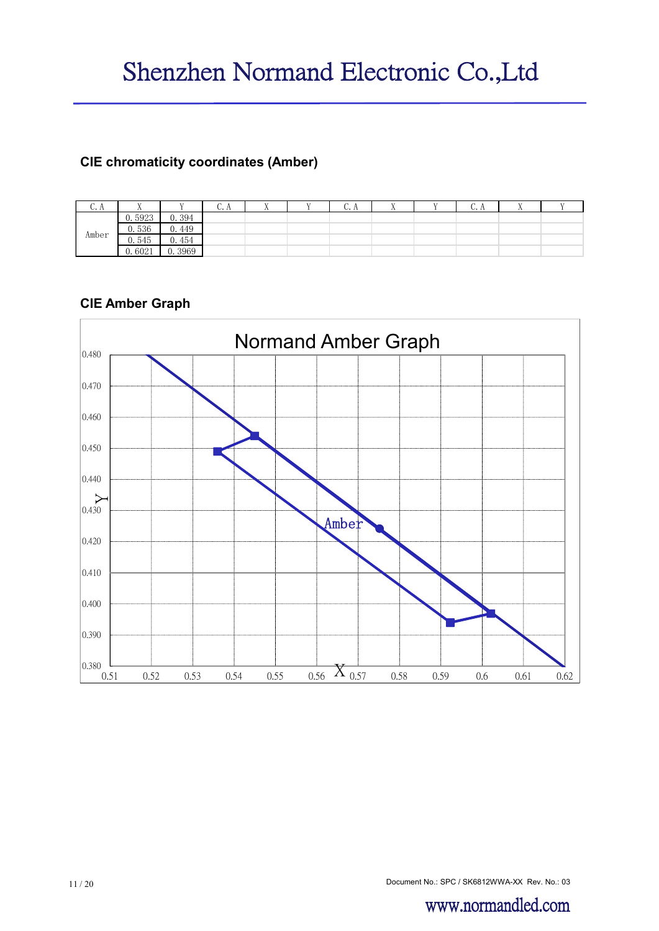# **CIE chromaticity coordinates (Amber)**

| U.A   | $\overline{A}$ |           | v. n | $\overline{A}$ | $\mathbf{v}$ | $\sqrt{2}$<br>v. n |  | v. n | . . |  |
|-------|----------------|-----------|------|----------------|--------------|--------------------|--|------|-----|--|
|       | 0.5923         | 0.394     |      |                |              |                    |  |      |     |  |
| Amber | 0.536          | 449<br>v. |      |                |              |                    |  |      |     |  |
|       | 0.545          | 454<br>v. |      |                |              |                    |  |      |     |  |
|       | 0.6021         | 0.3969    |      |                |              |                    |  |      |     |  |

### **CIE Amber Graph**



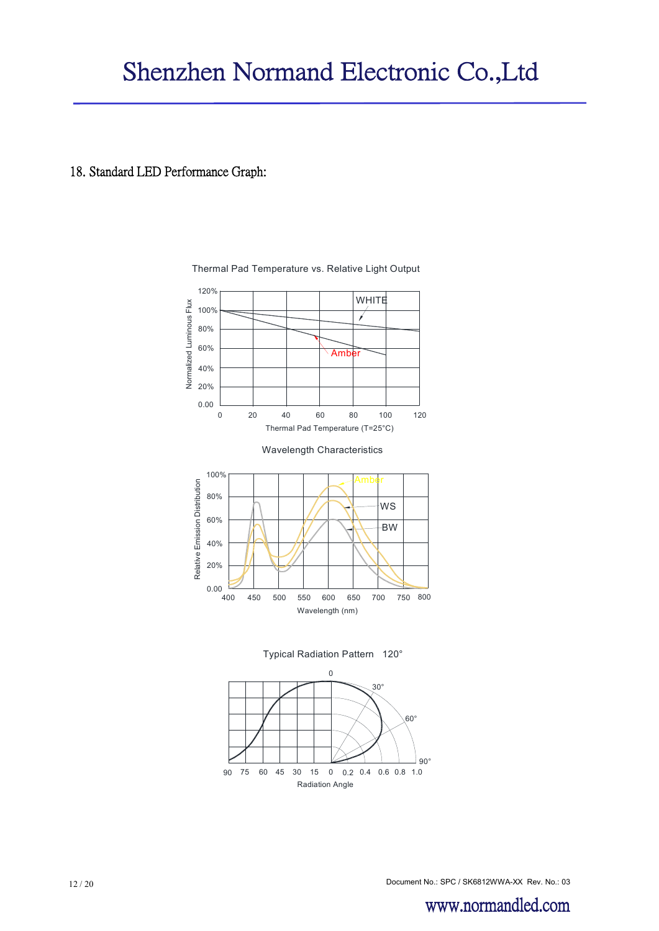#### 18. Standard LED Performance Graph:



Thermal Pad Temperature vs. Relative Light Output



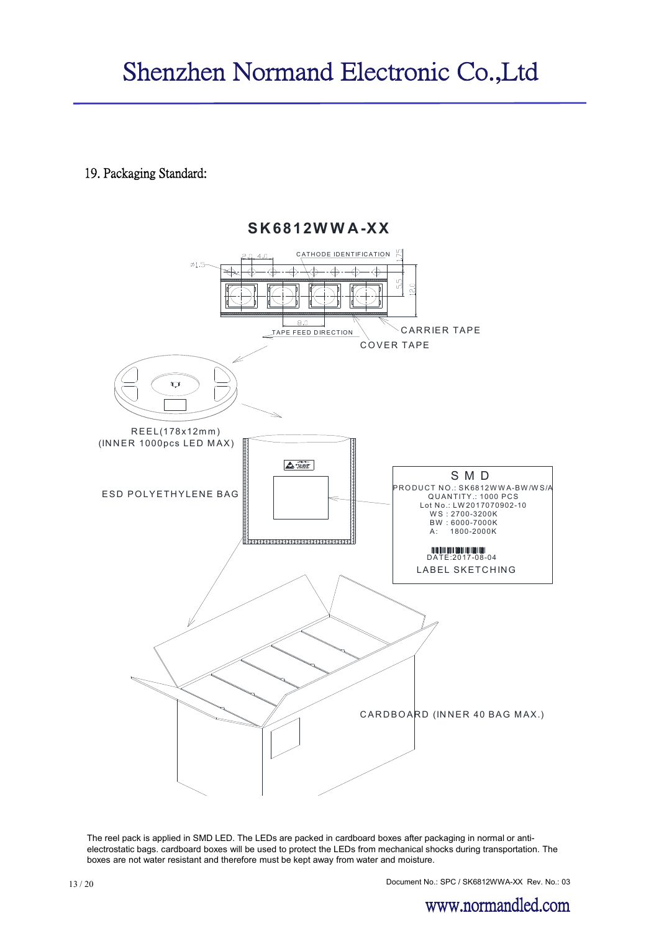**S K 6812W W A -XX**

19. Packaging Standard:

**ATHODE IDENTIFICATION**  $\emptyset$ 1.5  $\triangle$ ₽ ₫  $5\frac{5}{2}$  $\tilde{c}$  $8.0$ **CARRIER TAPE** TAPE FEED DIRECTION COVER TAPE  $\overline{C}$ R E E L(178x12m m ) (INNER 1000pcs LED MAX)  $\triangle$   $\equiv$  S M D P R O D U C T N O .: S K 6812W W A - B W / W S / A E SD POLYETHYLENE BAG Q U AN TITY .: 1000 PC S Lot No.: LW 2017070902-10 W S : 2700-3200K **HAXXX** BW : 6000-7000K<br>A: 1800-2000K **M M M M M M M**<br>DATE:2017-08-04 LABEL SKETCHING  $C$  ARDBOARD (INNER 40 BAG MAX.)

The reel pack is applied in SMD LED. The LEDs are packed in cardboard boxes after packaging in normal or antielectrostatic bags. cardboard boxes will be used to protect the LEDs from mechanical shocks during transportation. The boxes are not water resistant and therefore must be kept away from water and moisture.

Document No.: SPC / SK6812WWA-XX Rev. No.: 03 13 / 20

www.normandled.com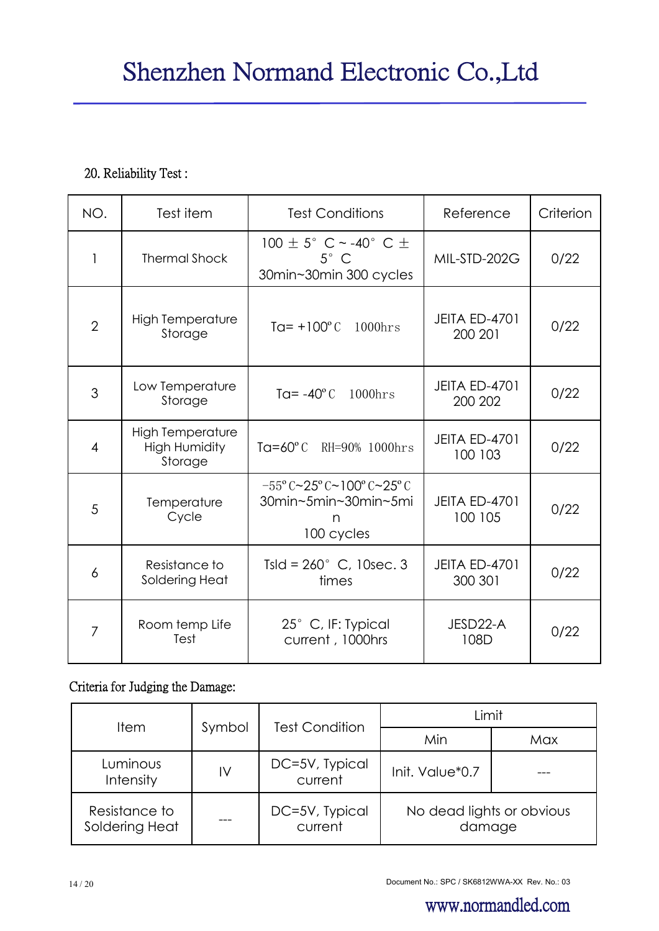# 20. Reliability Test :

| NO.            | Test item                                                  | <b>Test Conditions</b>                                                                                | Reference                       | Criterion |
|----------------|------------------------------------------------------------|-------------------------------------------------------------------------------------------------------|---------------------------------|-----------|
| $\mathbf{1}$   | <b>Thermal Shock</b>                                       | 100 $\pm$ 5° C ~ -40° C $\pm$<br>$5^\circ$ C<br>30min~30min 300 cycles                                | MIL-STD-202G                    | 0/22      |
| $\overline{2}$ | <b>High Temperature</b><br>Storage                         | $Tq = +100^{\circ}C$<br>$1000$ hrs                                                                    | <b>JEITA ED-4701</b><br>200 201 | 0/22      |
| 3              | Low Temperature<br>Storage                                 | $1000$ hrs<br>Ta= $-40^{\circ}$ C                                                                     | <b>JEITA ED-4701</b><br>200 202 | 0/22      |
| $\overline{4}$ | <b>High Temperature</b><br><b>High Humidity</b><br>Storage | Ta=60 $\degree$ C<br>RH=90% 1000hrs                                                                   | <b>JEITA ED-4701</b><br>100 103 | 0/22      |
| 5              | Temperature<br>Cycle                                       | $-55^{\circ}$ C ~ $25^{\circ}$ C ~ 100° C ~ $25^{\circ}$ C<br>30min~5min~30min~5mi<br>n<br>100 cycles | <b>JEITA ED-4701</b><br>100 105 | 0/22      |
| 6              | Resistance to<br>Soldering Heat                            | Tsld = $260^{\circ}$ C, 10sec. 3<br>times                                                             |                                 | 0/22      |
| 7              | Room temp Life<br>Test                                     | 25° C, IF: Typical<br>current, 1000hrs                                                                | JESD22-A<br>108D                | 0/22      |

# Criteria for Judging the Damage:

| <b>Item</b>                                                     |        | <b>Test Condition</b>     | Limit                               |     |  |
|-----------------------------------------------------------------|--------|---------------------------|-------------------------------------|-----|--|
|                                                                 | Symbol |                           | Min                                 | Max |  |
| DC=5V, Typical<br>Luminous<br>IV<br>current<br><b>Intensity</b> |        | Init. Value*0.7           |                                     |     |  |
| Resistance to<br>Soldering Heat                                 |        | DC=5V, Typical<br>current | No dead lights or obvious<br>damage |     |  |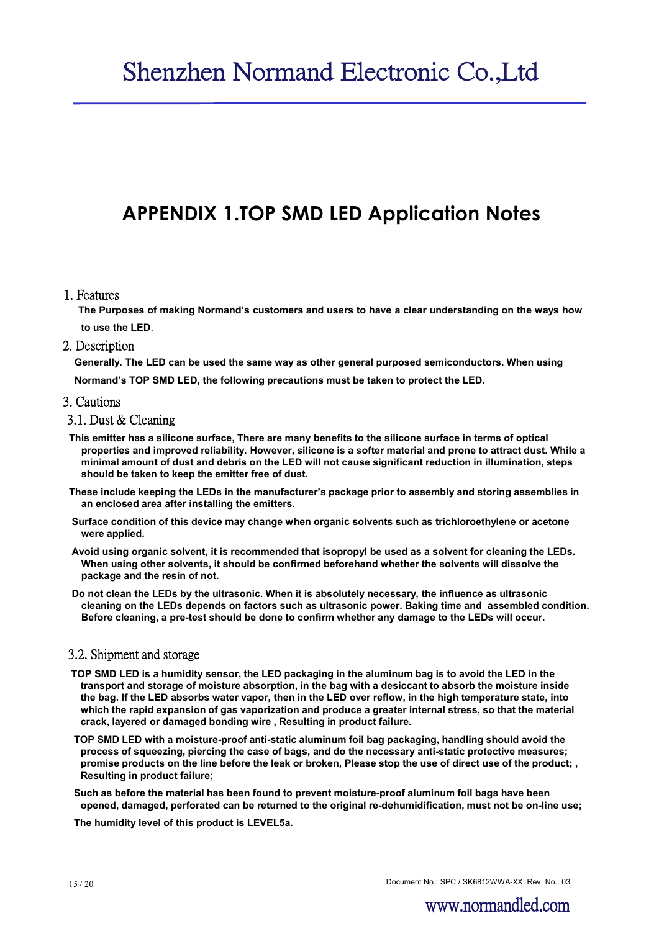# **APPENDIX 1.TOP SMD LED Application Notes**

#### 1. Features

**The Purposes of making Normand's customers and users to have a clear understanding on the ways how to use the LED**.

#### 2. Description

**Generally. The LED can be used the same way as other general purposed semiconductors. When using**

**Normand's TOP SMD LED, the following precautions must be taken to protect the LED.**

#### 3. Cautions

#### 3.1. Dust & Cleaning

- **This emitter has a silicone surface, There are many benefits to the silicone surface in terms of optical properties and improved reliability. However, silicone is a softer material and prone to attract dust. While a minimal amount of dust and debris on the LED will not cause significant reduction in illumination, steps should be taken to keep the emitter free of dust.**
- **These include keeping the LEDs in the manufacturer's package prior to assembly and storing assemblies in an enclosed area after installing the emitters.**
- **Surface condition of this device may change when organic solvents such as trichloroethylene or acetone were applied.**
- **Avoid using organic solvent, it is recommended that isopropyl be used as a solvent for cleaning the LEDs. When using other solvents, it should be confirmed beforehand whether the solvents will dissolve the package and the resin of not.**
- **Do not clean the LEDs by the ultrasonic. When it is absolutely necessary, the influence as ultrasonic cleaning on the LEDs depends on factors such as ultrasonic power. Baking time and assembled condition. Before cleaning, a pre-test should be done to confirm whether any damage to the LEDs will occur.**

#### 3.2. Shipment and storage

- **TOP SMD LED is a humidity sensor, the LED packaging in the aluminum bag is to avoid the LED in the transport and storage of moisture absorption, in the bag with a desiccant to absorb the moisture inside the bag. If the LED absorbs water vapor, then in the LED over reflow, in the high temperature state, into which the rapid expansion of gas vaporization and produce a greater internal stress, so that the material crack, layered or damaged bonding wire , Resulting in product failure.**
- **TOP SMD LED with a moisture-proof anti-static aluminum foil bag packaging, handling should avoid the process of squeezing, piercing the case of bags, and do the necessary anti-static protective measures; promise products on the line before the leak or broken, Please stop the use of direct use of the product; , Resulting in product failure;**
- **Such as before the material has been found to prevent moisture-proof aluminum foil bags have been opened, damaged, perforated can be returned to the original re-dehumidification, must not be on-line use;**

**The humidity level of this product is LEVEL5a.**

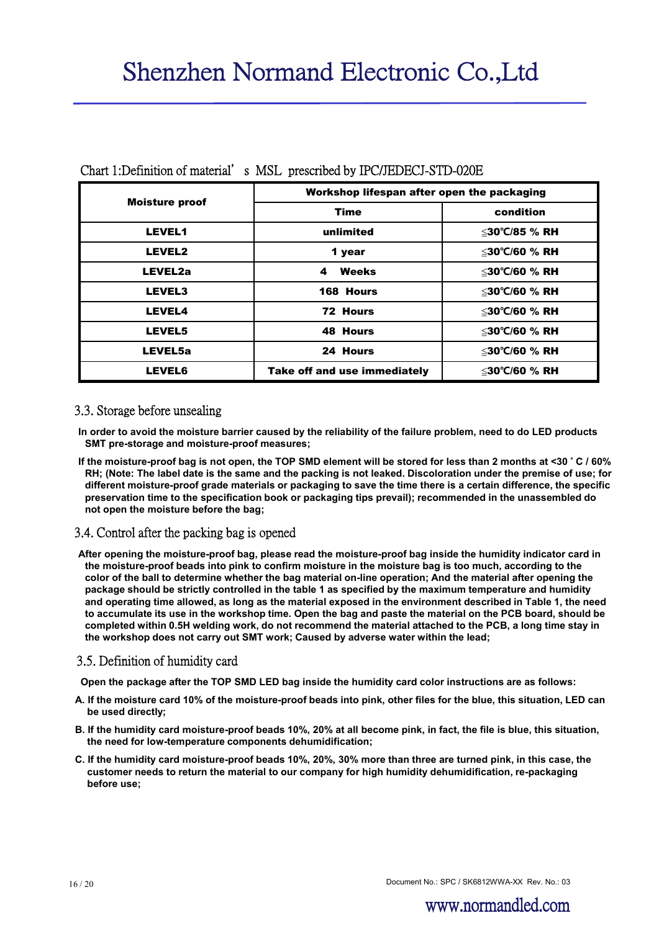|                       | Workshop lifespan after open the packaging |                     |  |  |  |
|-----------------------|--------------------------------------------|---------------------|--|--|--|
| <b>Moisture proof</b> | Time                                       | condition           |  |  |  |
| <b>LEVEL1</b>         | unlimited                                  | ≤30°C/85 % RH       |  |  |  |
| LEVEL2                | 1 year                                     | ≤30°C/60 % RH       |  |  |  |
| LEVEL2a               | Weeks<br>4                                 | ≤30°C/60 % RH       |  |  |  |
| <b>LEVEL3</b>         | 168 Hours                                  | ≤30°C/60 % RH       |  |  |  |
| <b>LEVEL4</b>         | 72 Hours                                   | ≤30°C/60 % RH       |  |  |  |
| <b>LEVEL5</b>         | 48 Hours                                   | ≤30°C/60 % RH       |  |  |  |
| LEVEL5a               | 24 Hours                                   | $\leq$ 30°C/60 % RH |  |  |  |
| <b>LEVEL6</b>         | Take off and use immediately               | ≤30°C/60 % RH       |  |  |  |

#### Chart 1:Definition of material's MSL prescribed by IPC/JEDECJ-STD-020E

#### 3.3. Storage before unsealing

**In order to avoid the moisture barrier caused by the reliability of the failure problem, need to do LED products SMT pre-storage and moisture-proof measures;**

**If the moisture-proof bag is not open, the TOP SMD element will be stored for less than 2 months at <30** ° **C / 60% RH; (Note: The label date is the same and the packing is not leaked. Discoloration under the premise of use; for different moisture-proof grade materials or packaging to save the time there is a certain difference, the specific preservation time to the specification book or packaging tips prevail); recommended in the unassembled do not open the moisture before the bag;**

#### 3.4. Control after the packing bag is opened

**After opening the moisture-proof bag, please read the moisture-proof bag inside the humidity indicator card in the moisture-proof beads into pink to confirm moisture in the moisture bag is too much, according to the color of the ball to determine whether the bag material on-line operation; And the material after opening the package should be strictly controlled in the table 1 as specified by the maximum temperature and humidity and operating time allowed, as long as the material exposed in the environment described in Table 1, the need to accumulate its use in the workshop time. Open the bag and paste the material on the PCB board, should be completed within 0.5H welding work, do not recommend the material attached to the PCB, a long time stay in the workshop does not carry out SMT work; Caused by adverse water within the lead;**

#### 3.5. Definition of humidity card

**Open the package after the TOP SMD LED bag inside the humidity card color instructions are as follows:**

- **A. If the moisture card 10% of the moisture-proof beads into pink, other files for the blue, this situation, LED can be used directly;**
- **B. If the humidity card moisture-proof beads 10%, 20% at all become pink, in fact, the file is blue, this situation, the need for low-temperature components dehumidification;**
- **C. If the humidity card moisture-proof beads 10%, 20%, 30% more than three are turned pink, in this case, the customer needs to return the material to our company for high humidity dehumidification, re-packaging before use;**

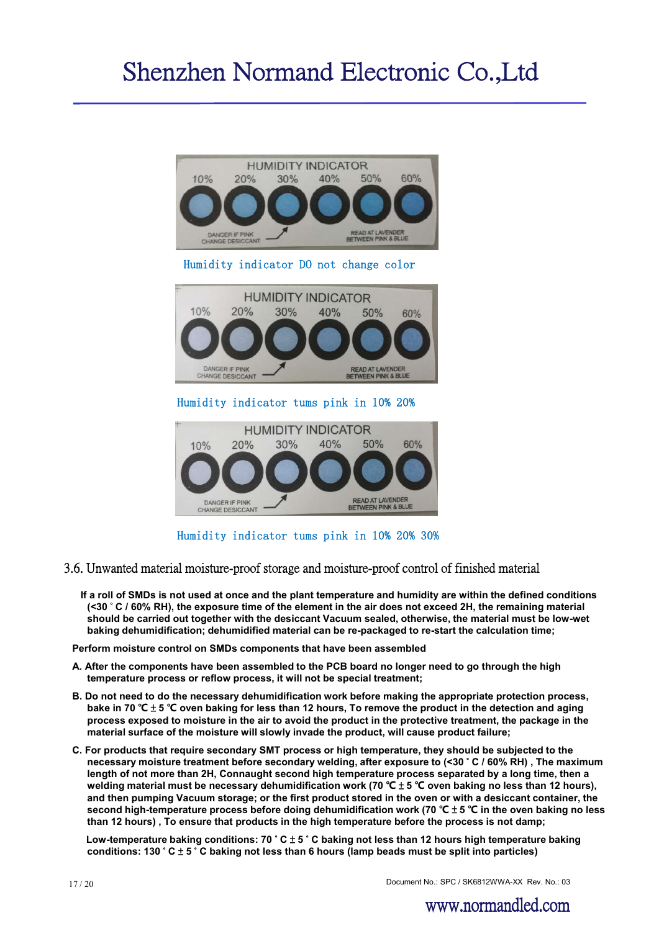

Humidity indicator tums pink in 10% 20% 30%

- 3.6. Unwanted material moisture-proof storage and moisture-proof control of finished material
	- **If a roll of SMDs is not used at once and the plant temperature and humidity are within the defined conditions (<30** ° **C / 60% RH), the exposure time of the element in the air does not exceed 2H, the remaining material should be carried out together with the desiccant Vacuum sealed, otherwise, the material must be low-wet baking dehumidification; dehumidified material can be re-packaged to re-start the calculation time;**

**Perform moisture control on SMDs components that have been assembled**

- **A. After the components have been assembled to the PCB board no longer need to go through the high temperature process or reflow process, it will not be special treatment;**
- **B. Do not need to do the necessary dehumidification work before making the appropriate protection process, bake in 70 ℃** ± **5 ℃ oven baking for less than 12 hours, To remove the product in the detection and aging process exposed to moisture in the air to avoid the product in the protective treatment, the package in the material surface of the moisture will slowly invade the product, will cause product failure;**
- **C. For products that require secondary SMT process or high temperature, they should be subjected to the necessary moisture treatment before secondary welding, after exposure to (<30** ° **C / 60% RH) , The maximum length of not more than 2H, Connaught second high temperature process separated by a long time, then a welding material must be necessary dehumidification work (70 ℃** ± **5 ℃ oven baking no less than 12 hours), and then pumping Vacuum storage; or the first product stored in the oven or with a desiccant container, the second high-temperature process before doing dehumidification work (70 ℃** ± **5 ℃ in the oven baking no less than 12 hours) , To ensure that products in the high temperature before the process is not damp;**

**Low-temperature baking conditions: 70** ° **C** ± **5** ° **C baking not less than 12 hours high temperature baking conditions: 130** ° **C** ± **5** ° **C baking not less than 6 hours (lamp beads must be split into particles)**

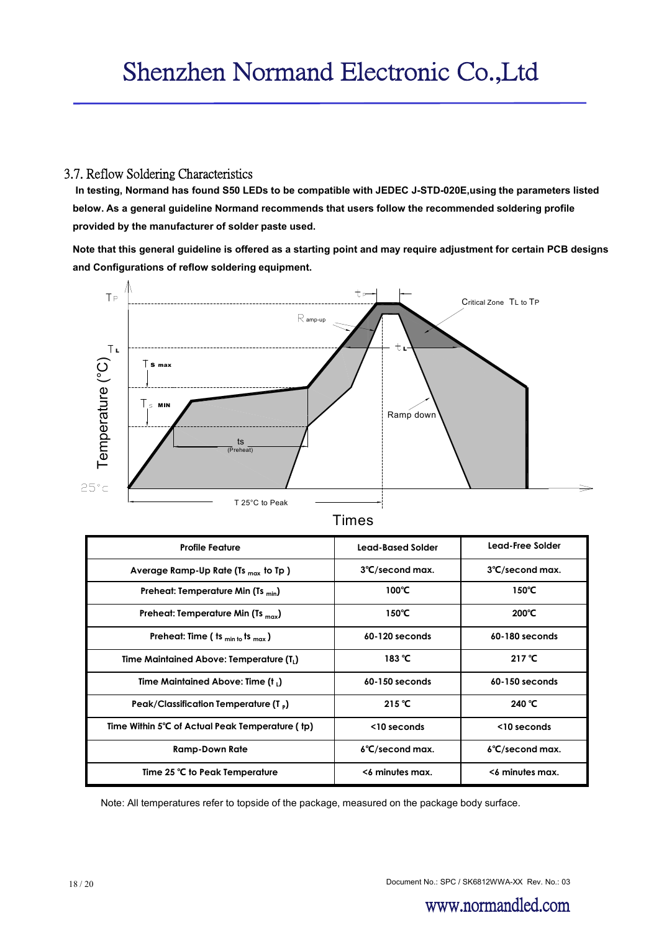#### 3.7. Reflow Soldering Characteristics

**In testing, Normand has found S50 LEDs to be compatible with JEDEC J-STD-020E,using the parameters listed below. As a general guideline Normand recommends that users follow the recommended soldering profile provided by the manufacturer of solder paste used.**

**Note that this general guideline is offered as a starting point and may require adjustment for certain PCB designs and Configurations of reflow soldering equipment.**



|  | ır r | ı |  |
|--|------|---|--|
|  |      |   |  |

| <b>Profile Feature</b>                               | Lead-Based Solder         | Lead-Free Solder          |
|------------------------------------------------------|---------------------------|---------------------------|
| Average Ramp-Up Rate (Ts $_{max}$ to Tp )            | 3°C/second max.           | 3°C/second max.           |
| Preheat: Temperature Min (Ts $_{\text{min}}$ )       | $100^{\circ}$ C           | 150°C                     |
| Preheat: Temperature Min (Ts $_{\rm{max}}$ )         | $150^{\circ}$ C           | $200^{\circ}$ C           |
| Preheat: Time ( ts $_{min to}$ ts $_{max}$ )         | 60-120 seconds            | 60-180 seconds            |
| Time Maintained Above: Temperature (T <sub>1</sub> ) | 183 $°C$                  | 217 $°C$                  |
| Time Maintained Above: Time (t,)                     | $60-150$ seconds          | 60-150 seconds            |
| Peak/Classification Temperature (T,)                 | 215 $°C$                  | 240 °C                    |
| Time Within 5°C of Actual Peak Temperature (tp)      | $<$ 10 seconds            | <10 seconds               |
| <b>Ramp-Down Rate</b>                                | $6^{\circ}$ C/second max. | $6^{\circ}$ C/second max. |
| Time 25 °C to Peak Temperature                       | <6 minutes max.           | <6 minutes max.           |

Note: All temperatures refer to topside of the package, measured on the package body surface.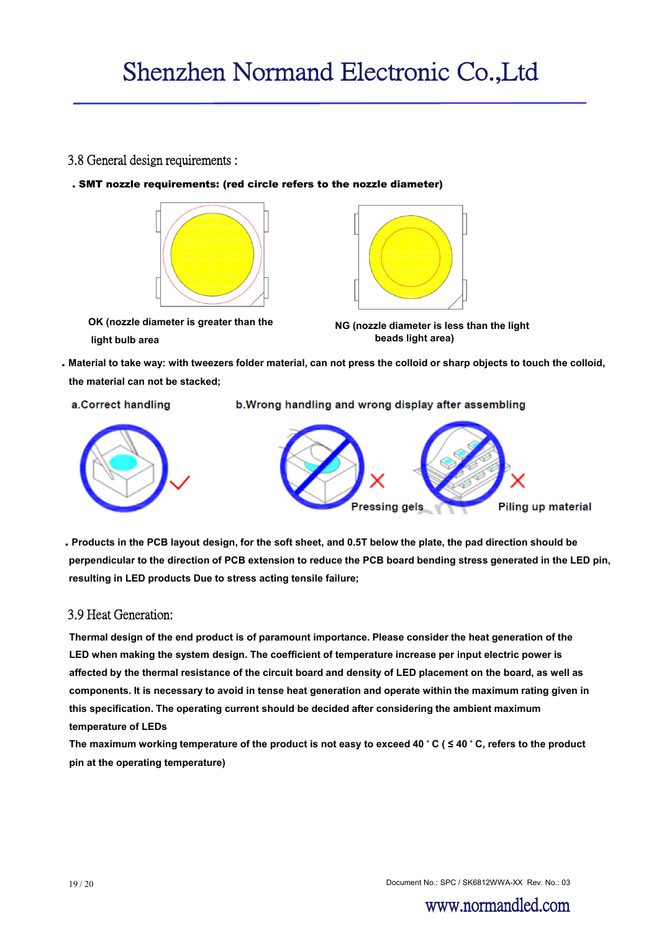#### 3.8 General design requirements :

. SMT nozzle requirements: (red circle refers to the nozzle diameter)



**OK (nozzle diameter is greater than the light bulb area**



**NG (nozzle diameter is less than the light beads light area)**

. **Material to take way: with tweezers folder material, can not press the colloid or sharp objects to touch the colloid, the material can not be stacked;**

a.Correct handling

b. Wrong handling and wrong display after assembling



. **Products in the PCB layout design, for the soft sheet, and 0.5T below the plate, the pad direction should be perpendicular to the direction of PCB extension to reduce the PCB board bending stress generated in the LED pin, resulting in LED products Due to stress acting tensile failure;**

#### 3.9 Heat Generation:

**Thermal design of the end product is of paramount importance. Please consider the heat generation of the LED when making the system design. The coefficient of temperature increase per input electric power is affected by the thermal resistance of the circuit board and density of LED placement on the board, as well as components. It is necessary to avoid in tense heat generation and operate within the maximum rating given in this specification. The operating current should be decided after considering the ambient maximum temperature of LEDs** 

**The maximum working temperature of the product is not easy to exceed 40** ° **C ( ≤ 40** ° **C, refers to the product pin at the operating temperature)**